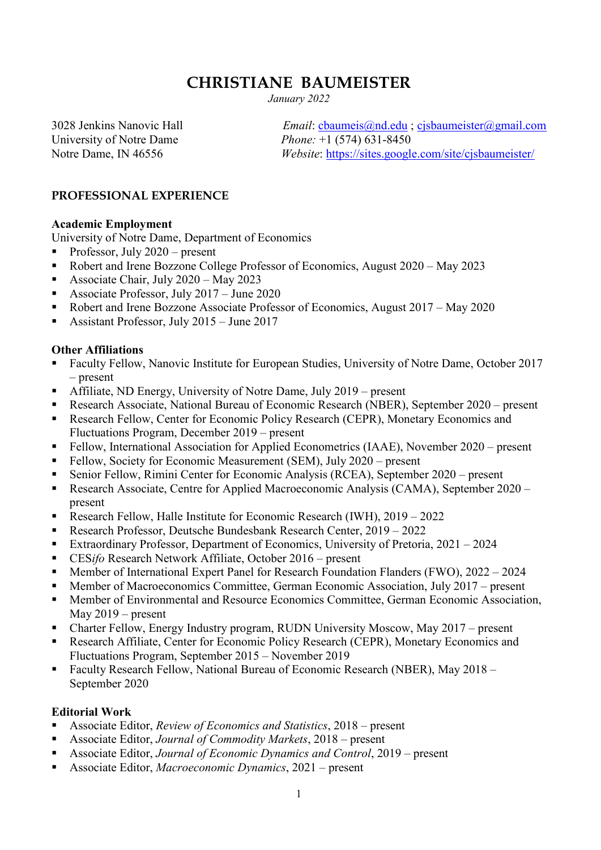## **CHRISTIANE BAUMEISTER**

*January 2022*

University of Notre Dame<br>
Notre Dame, IN 46556<br> *Phone:* +1 (574) 631-8450<br> *Website:* https://sites.google

3028 Jenkins Nanovic Hall *Email*: cbaumeis@nd.edu ; cjsbaumeister@gmail.com *Website*: https://sites.google.com/site/cjsbaumeister/

#### **PROFESSIONAL EXPERIENCE**

#### **Academic Employment**

University of Notre Dame, Department of Economics

- Professor, July  $2020$  present
- Robert and Irene Bozzone College Professor of Economics, August 2020 May 2023
- Associate Chair, July 2020 May 2023
- Associate Professor, July  $2017 -$  June 2020
- Robert and Irene Bozzone Associate Professor of Economics, August 2017 May 2020
- Assistant Professor, July  $2015 -$  June  $2017$

#### **Other Affiliations**

- Faculty Fellow, Nanovic Institute for European Studies, University of Notre Dame, October 2017 – present
- Affiliate, ND Energy, University of Notre Dame, July 2019 present
- Research Associate, National Bureau of Economic Research (NBER), September 2020 present
- **Research Fellow, Center for Economic Policy Research (CEPR), Monetary Economics and** Fluctuations Program, December 2019 – present
- Fellow, International Association for Applied Econometrics (IAAE), November 2020 present
- Fellow, Society for Economic Measurement (SEM), July 2020 present
- Senior Fellow, Rimini Center for Economic Analysis (RCEA), September 2020 present
- Research Associate, Centre for Applied Macroeconomic Analysis (CAMA), September 2020 present
- Research Fellow, Halle Institute for Economic Research (IWH), 2019 2022
- Research Professor, Deutsche Bundesbank Research Center, 2019 2022
- **Extraordinary Professor, Department of Economics, University of Pretoria, 2021 2024**
- CES*ifo* Research Network Affiliate, October 2016 present
- **Member of International Expert Panel for Research Foundation Flanders (FWO), 2022 2024**
- Member of Macroeconomics Committee, German Economic Association, July 2017 present
- **Member of Environmental and Resource Economics Committee, German Economic Association,** May 2019 – present
- Charter Fellow, Energy Industry program, RUDN University Moscow, May 2017 present
- **Research Affiliate, Center for Economic Policy Research (CEPR), Monetary Economics and** Fluctuations Program, September 2015 – November 2019
- Faculty Research Fellow, National Bureau of Economic Research (NBER), May 2018 September 2020

#### **Editorial Work**

- Associate Editor, *Review of Economics and Statistics*, 2018 present
- Associate Editor, *Journal of Commodity Markets*, 2018 present
- Associate Editor, *Journal of Economic Dynamics and Control*, 2019 present
- Associate Editor, *Macroeconomic Dynamics*, 2021 present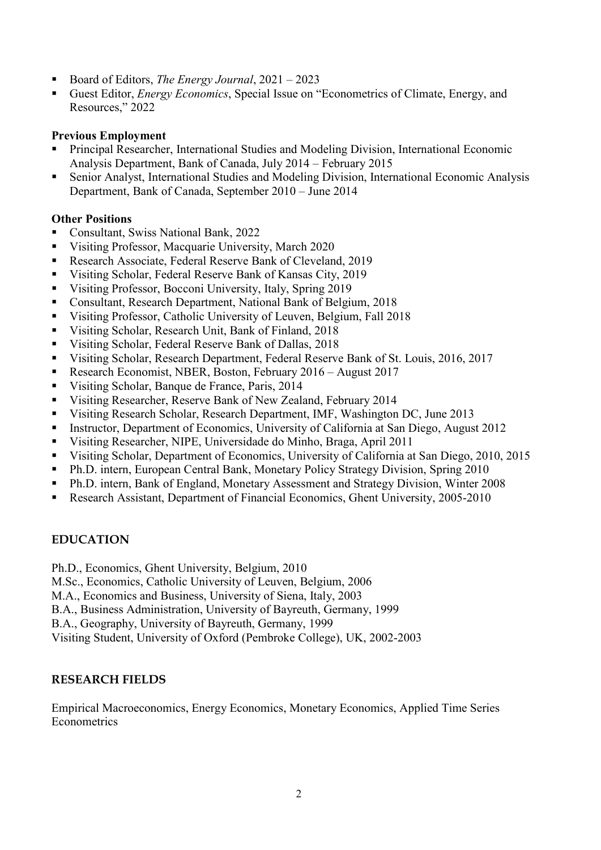- Board of Editors, *The Energy Journal*, 2021 2023
- Guest Editor, *Energy Economics*, Special Issue on "Econometrics of Climate, Energy, and Resources," 2022

#### **Previous Employment**

- Principal Researcher, International Studies and Modeling Division, International Economic Analysis Department, Bank of Canada, July 2014 – February 2015
- Senior Analyst, International Studies and Modeling Division, International Economic Analysis Department, Bank of Canada, September 2010 – June 2014

#### **Other Positions**

- Consultant, Swiss National Bank, 2022
- Visiting Professor, Macquarie University, March 2020
- Research Associate, Federal Reserve Bank of Cleveland, 2019
- Visiting Scholar, Federal Reserve Bank of Kansas City, 2019
- Visiting Professor, Bocconi University, Italy, Spring 2019
- Consultant, Research Department, National Bank of Belgium, 2018
- Visiting Professor, Catholic University of Leuven, Belgium, Fall 2018
- Visiting Scholar, Research Unit, Bank of Finland, 2018
- Visiting Scholar, Federal Reserve Bank of Dallas, 2018
- Visiting Scholar, Research Department, Federal Reserve Bank of St. Louis, 2016, 2017
- Research Economist, NBER, Boston, February 2016 August 2017
- Visiting Scholar, Banque de France, Paris, 2014
- Visiting Researcher, Reserve Bank of New Zealand, February 2014
- Visiting Research Scholar, Research Department, IMF, Washington DC, June 2013
- Instructor, Department of Economics, University of California at San Diego, August 2012
- Visiting Researcher, NIPE, Universidade do Minho, Braga, April 2011
- Visiting Scholar, Department of Economics, University of California at San Diego, 2010, 2015
- Ph.D. intern, European Central Bank, Monetary Policy Strategy Division, Spring 2010
- Ph.D. intern, Bank of England, Monetary Assessment and Strategy Division, Winter 2008
- Research Assistant, Department of Financial Economics, Ghent University, 2005-2010

#### **EDUCATION**

Ph.D., Economics, Ghent University, Belgium, 2010

- M.Sc., Economics, Catholic University of Leuven, Belgium, 2006
- M.A., Economics and Business, University of Siena, Italy, 2003
- B.A., Business Administration, University of Bayreuth, Germany, 1999
- B.A., Geography, University of Bayreuth, Germany, 1999

Visiting Student, University of Oxford (Pembroke College), UK, 2002-2003

#### **RESEARCH FIELDS**

Empirical Macroeconomics, Energy Economics, Monetary Economics, Applied Time Series **Econometrics**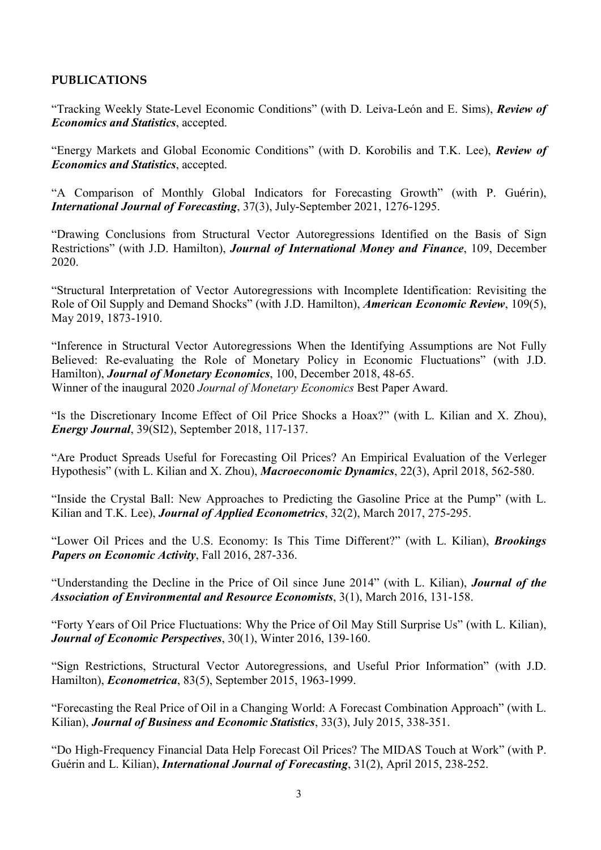### **PUBLICATIONS**

"Tracking Weekly State-Level Economic Conditions" (with D. Leiva-León and E. Sims), *Review of Economics and Statistics*, accepted.

"Energy Markets and Global Economic Conditions" (with D. Korobilis and T.K. Lee), *Review of Economics and Statistics*, accepted.

"A Comparison of Monthly Global Indicators for Forecasting Growth" (with P. Guérin), *International Journal of Forecasting*, 37(3), July-September 2021, 1276-1295.

"Drawing Conclusions from Structural Vector Autoregressions Identified on the Basis of Sign Restrictions" (with J.D. Hamilton), *Journal of International Money and Finance*, 109, December 2020.

"Structural Interpretation of Vector Autoregressions with Incomplete Identification: Revisiting the Role of Oil Supply and Demand Shocks" (with J.D. Hamilton), *American Economic Review*, 109(5), May 2019, 1873-1910.

"Inference in Structural Vector Autoregressions When the Identifying Assumptions are Not Fully Believed: Re-evaluating the Role of Monetary Policy in Economic Fluctuations" (with J.D. Hamilton), *Journal of Monetary Economics*, 100, December 2018, 48-65. Winner of the inaugural 2020 *Journal of Monetary Economics* Best Paper Award.

"Is the Discretionary Income Effect of Oil Price Shocks a Hoax?" (with L. Kilian and X. Zhou), *Energy Journal*, 39(SI2), September 2018, 117-137.

"Are Product Spreads Useful for Forecasting Oil Prices? An Empirical Evaluation of the Verleger Hypothesis" (with L. Kilian and X. Zhou), *Macroeconomic Dynamics*, 22(3), April 2018, 562-580.

"Inside the Crystal Ball: New Approaches to Predicting the Gasoline Price at the Pump" (with L. Kilian and T.K. Lee), *Journal of Applied Econometrics*, 32(2), March 2017, 275-295.

"Lower Oil Prices and the U.S. Economy: Is This Time Different?" (with L. Kilian), *Brookings Papers on Economic Activity*, Fall 2016, 287-336.

"Understanding the Decline in the Price of Oil since June 2014" (with L. Kilian), *Journal of the Association of Environmental and Resource Economists*, 3(1), March 2016, 131-158.

"Forty Years of Oil Price Fluctuations: Why the Price of Oil May Still Surprise Us" (with L. Kilian), *Journal of Economic Perspectives*, 30(1), Winter 2016, 139-160.

"Sign Restrictions, Structural Vector Autoregressions, and Useful Prior Information" (with J.D. Hamilton), *Econometrica*, 83(5), September 2015, 1963-1999.

"Forecasting the Real Price of Oil in a Changing World: A Forecast Combination Approach" (with L. Kilian), *Journal of Business and Economic Statistics*, 33(3), July 2015, 338-351.

"Do High-Frequency Financial Data Help Forecast Oil Prices? The MIDAS Touch at Work" (with P. Guérin and L. Kilian), *International Journal of Forecasting*, 31(2), April 2015, 238-252.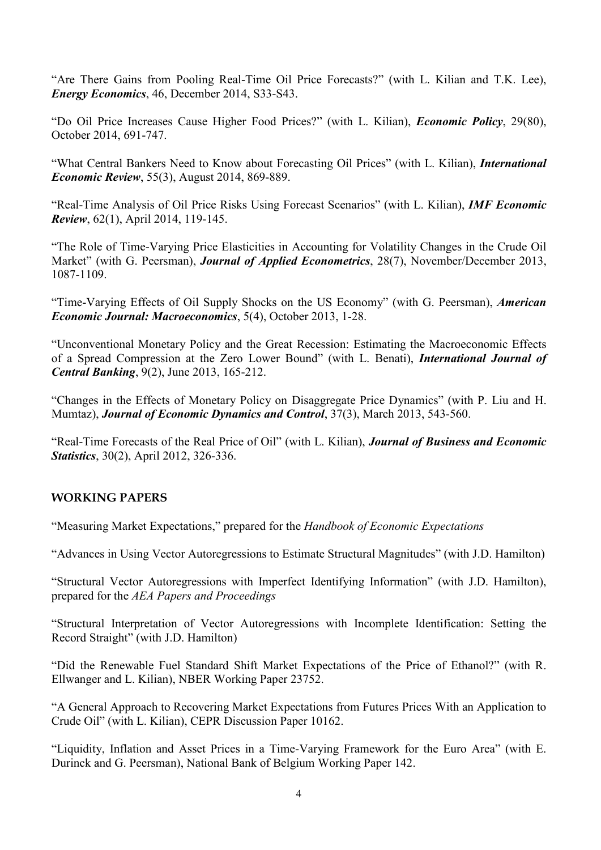"Are There Gains from Pooling Real-Time Oil Price Forecasts?" (with L. Kilian and T.K. Lee), *Energy Economics*, 46, December 2014, S33-S43.

"Do Oil Price Increases Cause Higher Food Prices?" (with L. Kilian), *Economic Policy*, 29(80), October 2014, 691-747.

"What Central Bankers Need to Know about Forecasting Oil Prices" (with L. Kilian), *International Economic Review*, 55(3), August 2014, 869-889.

"Real-Time Analysis of Oil Price Risks Using Forecast Scenarios" (with L. Kilian), *IMF Economic Review*, 62(1), April 2014, 119-145.

"The Role of Time-Varying Price Elasticities in Accounting for Volatility Changes in the Crude Oil Market" (with G. Peersman), *Journal of Applied Econometrics*, 28(7), November/December 2013, 1087-1109.

"Time-Varying Effects of Oil Supply Shocks on the US Economy" (with G. Peersman), *American Economic Journal: Macroeconomics*, 5(4), October 2013, 1-28.

"Unconventional Monetary Policy and the Great Recession: Estimating the Macroeconomic Effects of a Spread Compression at the Zero Lower Bound" (with L. Benati), *International Journal of Central Banking*, 9(2), June 2013, 165-212.

"Changes in the Effects of Monetary Policy on Disaggregate Price Dynamics" (with P. Liu and H. Mumtaz), *Journal of Economic Dynamics and Control*, 37(3), March 2013, 543-560.

"Real-Time Forecasts of the Real Price of Oil" (with L. Kilian), *Journal of Business and Economic Statistics*, 30(2), April 2012, 326-336.

## **WORKING PAPERS**

"Measuring Market Expectations," prepared for the *Handbook of Economic Expectations*

"Advances in Using Vector Autoregressions to Estimate Structural Magnitudes" (with J.D. Hamilton)

"Structural Vector Autoregressions with Imperfect Identifying Information" (with J.D. Hamilton), prepared for the *AEA Papers and Proceedings*

"Structural Interpretation of Vector Autoregressions with Incomplete Identification: Setting the Record Straight" (with J.D. Hamilton)

"Did the Renewable Fuel Standard Shift Market Expectations of the Price of Ethanol?" (with R. Ellwanger and L. Kilian), NBER Working Paper 23752.

"A General Approach to Recovering Market Expectations from Futures Prices With an Application to Crude Oil" (with L. Kilian), CEPR Discussion Paper 10162.

"Liquidity, Inflation and Asset Prices in a Time-Varying Framework for the Euro Area" (with E. Durinck and G. Peersman), National Bank of Belgium Working Paper 142.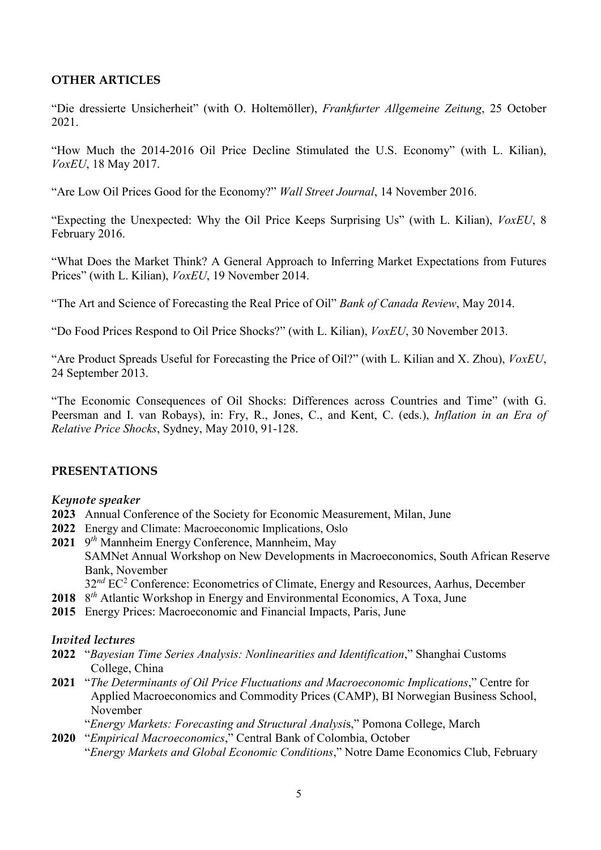#### **OTHER ARTICLES**

"Die dressierte Unsicherheit" (with O. Holtemöller), *Frankfurter Allgemeine Zeitung*, 25 October 2021.

"How Much the 2014-2016 Oil Price Decline Stimulated the U.S. Economy" (with L. Kilian), *VoxEU*, 18 May 2017.

"Are Low Oil Prices Good for the Economy?" *Wall Street Journal*, 14 November 2016.

"Expecting the Unexpected: Why the Oil Price Keeps Surprising Us" (with L. Kilian), *VoxEU*, 8 February 2016.

"What Does the Market Think? A General Approach to Inferring Market Expectations from Futures Prices" (with L. Kilian), *VoxEU*, 19 November 2014.

"The Art and Science of Forecasting the Real Price of Oil" *Bank of Canada Review*, May 2014.

"Do Food Prices Respond to Oil Price Shocks?" (with L. Kilian), *VoxEU*, 30 November 2013.

"Are Product Spreads Useful for Forecasting the Price of Oil?" (with L. Kilian and X. Zhou), *VoxEU*, 24 September 2013.

"The Economic Consequences of Oil Shocks: Differences across Countries and Time" (with G. Peersman and I. van Robays), in: Fry, R., Jones, C., and Kent, C. (eds.), *Inflation in an Era of Relative Price Shocks*, Sydney, May 2010, 91-128.

#### **PRESENTATIONS**

#### *Keynote speaker*

- **2023** Annual Conference of the Society for Economic Measurement, Milan, June
- **2022** Energy and Climate: Macroeconomic Implications, Oslo
- **2021** 9*th* Mannheim Energy Conference, Mannheim, May SAMNet Annual Workshop on New Developments in Macroeconomics, South African Reserve Bank, November
	- 32<sup>nd</sup> EC<sup>2</sup> Conference: Econometrics of Climate, Energy and Resources, Aarhus, December
- **2018** 8*th* Atlantic Workshop in Energy and Environmental Economics, A Toxa, June
- **2015** Energy Prices: Macroeconomic and Financial Impacts, Paris, June

#### *Invited lectures*

- **2022** "*Bayesian Time Series Analysis: Nonlinearities and Identification*," Shanghai Customs College, China
- **2021** "*The Determinants of Oil Price Fluctuations and Macroeconomic Implications*," Centre for Applied Macroeconomics and Commodity Prices (CAMP), BI Norwegian Business School, November
	- "*Energy Markets: Forecasting and Structural Analysi*s," Pomona College, March
- **2020** "*Empirical Macroeconomics*," Central Bank of Colombia, October "*Energy Markets and Global Economic Conditions*," Notre Dame Economics Club, February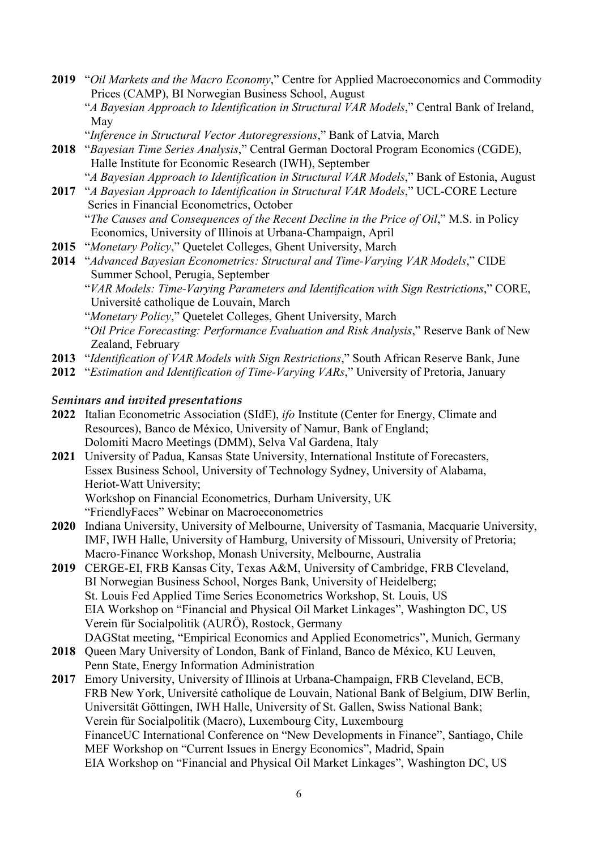- **2019** "*Oil Markets and the Macro Economy*," Centre for Applied Macroeconomics and Commodity Prices (CAMP), BI Norwegian Business School, August
	- "*A Bayesian Approach to Identification in Structural VAR Models*," Central Bank of Ireland, May
	- "*Inference in Structural Vector Autoregressions*," Bank of Latvia, March
- **2018** "*Bayesian Time Series Analysis*," Central German Doctoral Program Economics (CGDE), Halle Institute for Economic Research (IWH), September
	- "*A Bayesian Approach to Identification in Structural VAR Models*," Bank of Estonia, August
- **2017** "*A Bayesian Approach to Identification in Structural VAR Models*," UCL-CORE Lecture Series in Financial Econometrics, October
	- "*The Causes and Consequences of the Recent Decline in the Price of Oil*," M.S. in Policy Economics, University of Illinois at Urbana-Champaign, April
- **2015** "*Monetary Policy*," Quetelet Colleges, Ghent University, March
- **2014** "*Advanced Bayesian Econometrics: Structural and Time-Varying VAR Models*," CIDE Summer School, Perugia, September
	- "*VAR Models: Time-Varying Parameters and Identification with Sign Restrictions*," CORE, Université catholique de Louvain, March
	- "*Monetary Policy*," Quetelet Colleges, Ghent University, March
	- "*Oil Price Forecasting: Performance Evaluation and Risk Analysis*," Reserve Bank of New Zealand, February
- **2013** "*Identification of VAR Models with Sign Restrictions*," South African Reserve Bank, June
- **2012** "*Estimation and Identification of Time-Varying VARs*," University of Pretoria, January

#### *Seminars and invited presentations*

- **2022** Italian Econometric Association (SIdE), *ifo* Institute (Center for Energy, Climate and Resources), Banco de México, University of Namur, Bank of England; Dolomiti Macro Meetings (DMM), Selva Val Gardena, Italy
- **2021** University of Padua, Kansas State University, International Institute of Forecasters, Essex Business School, University of Technology Sydney, University of Alabama, Heriot-Watt University;

Workshop on Financial Econometrics, Durham University, UK

- "FriendlyFaces" Webinar on Macroeconometrics
- **2020** Indiana University, University of Melbourne, University of Tasmania, Macquarie University, IMF, IWH Halle, University of Hamburg, University of Missouri, University of Pretoria; Macro-Finance Workshop, Monash University, Melbourne, Australia
- **2019** CERGE-EI, FRB Kansas City, Texas A&M, University of Cambridge, FRB Cleveland, BI Norwegian Business School, Norges Bank, University of Heidelberg; St. Louis Fed Applied Time Series Econometrics Workshop, St. Louis, US EIA Workshop on "Financial and Physical Oil Market Linkages", Washington DC, US Verein für Socialpolitik (AURÖ), Rostock, Germany DAGStat meeting, "Empirical Economics and Applied Econometrics", Munich, Germany
- **2018** Queen Mary University of London, Bank of Finland, Banco de México, KU Leuven, Penn State, Energy Information Administration
- **2017** Emory University, University of Illinois at Urbana-Champaign, FRB Cleveland, ECB, FRB New York, Université catholique de Louvain, National Bank of Belgium, DIW Berlin, Universität Göttingen, IWH Halle, University of St. Gallen, Swiss National Bank; Verein für Socialpolitik (Macro), Luxembourg City, Luxembourg FinanceUC International Conference on "New Developments in Finance", Santiago, Chile MEF Workshop on "Current Issues in Energy Economics", Madrid, Spain EIA Workshop on "Financial and Physical Oil Market Linkages", Washington DC, US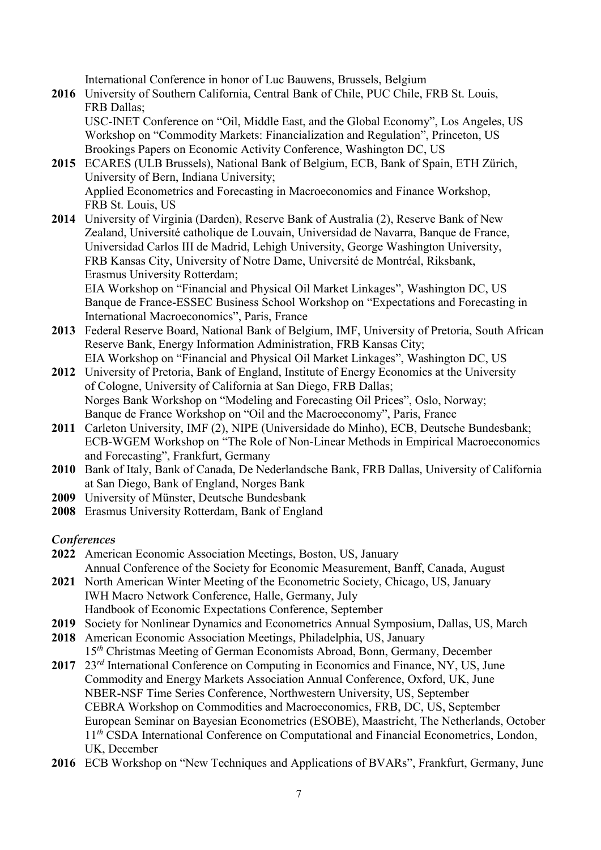International Conference in honor of Luc Bauwens, Brussels, Belgium

**2016** University of Southern California, Central Bank of Chile, PUC Chile, FRB St. Louis, FRB Dallas;

 USC-INET Conference on "Oil, Middle East, and the Global Economy", Los Angeles, US Workshop on "Commodity Markets: Financialization and Regulation", Princeton, US Brookings Papers on Economic Activity Conference, Washington DC, US

- **2015** ECARES (ULB Brussels), National Bank of Belgium, ECB, Bank of Spain, ETH Zürich, University of Bern, Indiana University; Applied Econometrics and Forecasting in Macroeconomics and Finance Workshop, FRB St. Louis, US
- **2014** University of Virginia (Darden), Reserve Bank of Australia (2), Reserve Bank of New Zealand, Université catholique de Louvain, Universidad de Navarra, Banque de France, Universidad Carlos III de Madrid, Lehigh University, George Washington University, FRB Kansas City, University of Notre Dame, Université de Montréal, Riksbank, Erasmus University Rotterdam;

 EIA Workshop on "Financial and Physical Oil Market Linkages", Washington DC, US Banque de France-ESSEC Business School Workshop on "Expectations and Forecasting in International Macroeconomics", Paris, France

- **2013** Federal Reserve Board, National Bank of Belgium, IMF, University of Pretoria, South African Reserve Bank, Energy Information Administration, FRB Kansas City; EIA Workshop on "Financial and Physical Oil Market Linkages", Washington DC, US
- **2012** University of Pretoria, Bank of England, Institute of Energy Economics at the University of Cologne, University of California at San Diego, FRB Dallas; Norges Bank Workshop on "Modeling and Forecasting Oil Prices", Oslo, Norway; Banque de France Workshop on "Oil and the Macroeconomy", Paris, France
- **2011** Carleton University, IMF (2), NIPE (Universidade do Minho), ECB, Deutsche Bundesbank; ECB-WGEM Workshop on "The Role of Non-Linear Methods in Empirical Macroeconomics and Forecasting", Frankfurt, Germany
- **2010** Bank of Italy, Bank of Canada, De Nederlandsche Bank, FRB Dallas, University of California at San Diego, Bank of England, Norges Bank
- **2009** University of Münster, Deutsche Bundesbank
- **2008** Erasmus University Rotterdam, Bank of England

*Conferences*

- **2022** American Economic Association Meetings, Boston, US, January Annual Conference of the Society for Economic Measurement, Banff, Canada, August
- **2021** North American Winter Meeting of the Econometric Society, Chicago, US, January IWH Macro Network Conference, Halle, Germany, July Handbook of Economic Expectations Conference, September
- **2019** Society for Nonlinear Dynamics and Econometrics Annual Symposium, Dallas, US, March
- **2018** American Economic Association Meetings, Philadelphia, US, January 15*th* Christmas Meeting of German Economists Abroad, Bonn, Germany, December
- **2017** 23*rd* International Conference on Computing in Economics and Finance, NY, US, June Commodity and Energy Markets Association Annual Conference, Oxford, UK, June NBER-NSF Time Series Conference, Northwestern University, US, September CEBRA Workshop on Commodities and Macroeconomics, FRB, DC, US, September European Seminar on Bayesian Econometrics (ESOBE), Maastricht, The Netherlands, October 11<sup>th</sup> CSDA International Conference on Computational and Financial Econometrics, London, UK, December
- **2016** ECB Workshop on "New Techniques and Applications of BVARs", Frankfurt, Germany, June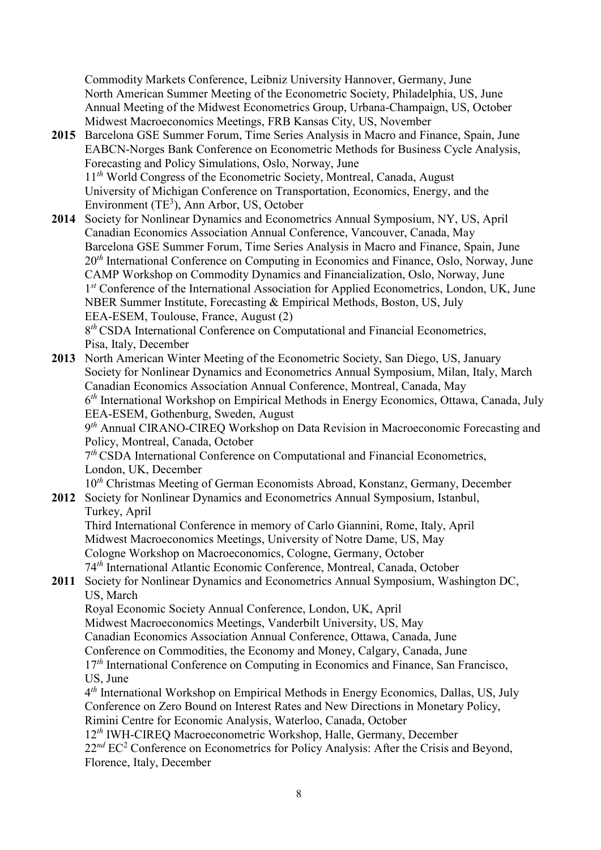Commodity Markets Conference, Leibniz University Hannover, Germany, June North American Summer Meeting of the Econometric Society, Philadelphia, US, June Annual Meeting of the Midwest Econometrics Group, Urbana-Champaign, US, October Midwest Macroeconomics Meetings, FRB Kansas City, US, November

- **2015** Barcelona GSE Summer Forum, Time Series Analysis in Macro and Finance, Spain, June EABCN-Norges Bank Conference on Econometric Methods for Business Cycle Analysis, Forecasting and Policy Simulations, Oslo, Norway, June 11<sup>th</sup> World Congress of the Econometric Society, Montreal, Canada, August University of Michigan Conference on Transportation, Economics, Energy, and the Environment  $(TE^3)$ , Ann Arbor, US, October
- **2014** Society for Nonlinear Dynamics and Econometrics Annual Symposium, NY, US, April Canadian Economics Association Annual Conference, Vancouver, Canada, May Barcelona GSE Summer Forum, Time Series Analysis in Macro and Finance, Spain, June 20*th* International Conference on Computing in Economics and Finance, Oslo, Norway, June CAMP Workshop on Commodity Dynamics and Financialization, Oslo, Norway, June 1*st* Conference of the International Association for Applied Econometrics, London, UK, June NBER Summer Institute, Forecasting & Empirical Methods, Boston, US, July EEA-ESEM, Toulouse, France, August (2) 8*th* CSDA International Conference on Computational and Financial Econometrics, Pisa, Italy, December

**2013** North American Winter Meeting of the Econometric Society, San Diego, US, January Society for Nonlinear Dynamics and Econometrics Annual Symposium, Milan, Italy, March Canadian Economics Association Annual Conference, Montreal, Canada, May 6*th* International Workshop on Empirical Methods in Energy Economics, Ottawa, Canada, July EEA-ESEM, Gothenburg, Sweden, August 9*th* Annual CIRANO-CIREQ Workshop on Data Revision in Macroeconomic Forecasting and Policy, Montreal, Canada, October 7*th* CSDA International Conference on Computational and Financial Econometrics, London, UK, December 10*th* Christmas Meeting of German Economists Abroad, Konstanz, Germany, December **2012** Society for Nonlinear Dynamics and Econometrics Annual Symposium, Istanbul,

# Turkey, April

 Third International Conference in memory of Carlo Giannini, Rome, Italy, April Midwest Macroeconomics Meetings, University of Notre Dame, US, May Cologne Workshop on Macroeconomics, Cologne, Germany, October 74*th* International Atlantic Economic Conference, Montreal, Canada, October

## **2011** Society for Nonlinear Dynamics and Econometrics Annual Symposium, Washington DC, US, March

 Royal Economic Society Annual Conference, London, UK, April Midwest Macroeconomics Meetings, Vanderbilt University, US, May Canadian Economics Association Annual Conference, Ottawa, Canada, June

Conference on Commodities, the Economy and Money, Calgary, Canada, June

17<sup>th</sup> International Conference on Computing in Economics and Finance, San Francisco, US, June

 4*th* International Workshop on Empirical Methods in Energy Economics, Dallas, US, July Conference on Zero Bound on Interest Rates and New Directions in Monetary Policy, Rimini Centre for Economic Analysis, Waterloo, Canada, October

 12*th* IWH-CIREQ Macroeconometric Workshop, Halle, Germany, December 22<sup>nd</sup> EC<sup>2</sup> Conference on Econometrics for Policy Analysis: After the Crisis and Beyond, Florence, Italy, December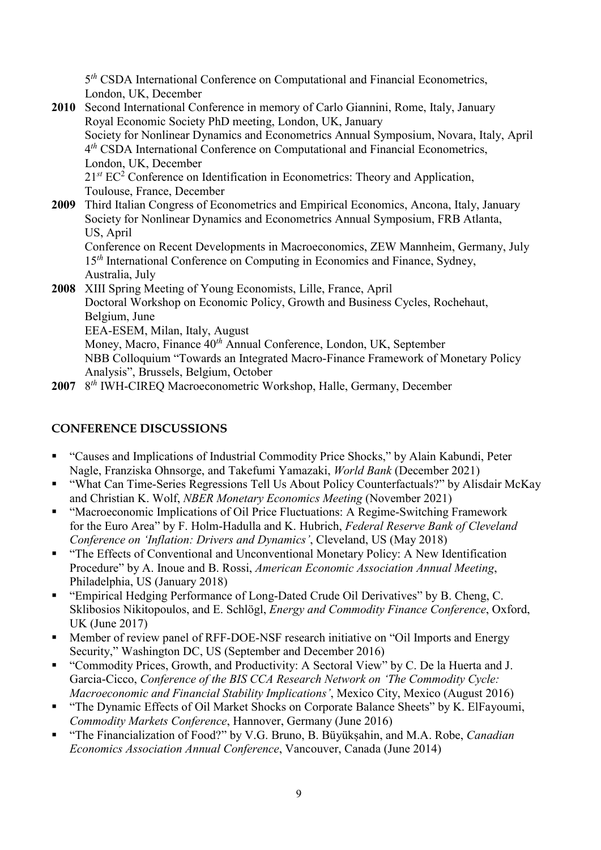5*th* CSDA International Conference on Computational and Financial Econometrics, London, UK, December

- **2010** Second International Conference in memory of Carlo Giannini, Rome, Italy, January Royal Economic Society PhD meeting, London, UK, January Society for Nonlinear Dynamics and Econometrics Annual Symposium, Novara, Italy, April 4*th* CSDA International Conference on Computational and Financial Econometrics, London, UK, December 21<sup>st</sup> EC<sup>2</sup> Conference on Identification in Econometrics: Theory and Application, Toulouse, France, December **2009** Third Italian Congress of Econometrics and Empirical Economics, Ancona, Italy, January
	- Society for Nonlinear Dynamics and Econometrics Annual Symposium, FRB Atlanta, US, April Conference on Recent Developments in Macroeconomics, ZEW Mannheim, Germany, July

15<sup>th</sup> International Conference on Computing in Economics and Finance, Sydney, Australia, July

**2008** XIII Spring Meeting of Young Economists, Lille, France, April Doctoral Workshop on Economic Policy, Growth and Business Cycles, Rochehaut, Belgium, June EEA-ESEM, Milan, Italy, August Money, Macro, Finance 40*th* Annual Conference, London, UK, September NBB Colloquium "Towards an Integrated Macro-Finance Framework of Monetary Policy Analysis", Brussels, Belgium, October

**2007** 8*th* IWH-CIREQ Macroeconometric Workshop, Halle, Germany, December

## **CONFERENCE DISCUSSIONS**

- "Causes and Implications of Industrial Commodity Price Shocks," by Alain Kabundi, Peter Nagle, Franziska Ohnsorge, and Takefumi Yamazaki, *World Bank* (December 2021)
- "What Can Time-Series Regressions Tell Us About Policy Counterfactuals?" by Alisdair McKay and Christian K. Wolf, *NBER Monetary Economics Meeting* (November 2021)
- "Macroeconomic Implications of Oil Price Fluctuations: A Regime-Switching Framework for the Euro Area" by F. Holm-Hadulla and K. Hubrich, *Federal Reserve Bank of Cleveland Conference on 'Inflation: Drivers and Dynamics'*, Cleveland, US (May 2018)
- "The Effects of Conventional and Unconventional Monetary Policy: A New Identification Procedure" by A. Inoue and B. Rossi, *American Economic Association Annual Meeting*, Philadelphia, US (January 2018)
- "Empirical Hedging Performance of Long-Dated Crude Oil Derivatives" by B. Cheng, C. Sklibosios Nikitopoulos, and E. Schlögl, *Energy and Commodity Finance Conference*, Oxford, UK (June 2017)
- **Member of review panel of RFF-DOE-NSF research initiative on "Oil Imports and Energy** Security," Washington DC, US (September and December 2016)
- "Commodity Prices, Growth, and Productivity: A Sectoral View" by C. De la Huerta and J. Garcia-Cicco, *Conference of the BIS CCA Research Network on 'The Commodity Cycle: Macroeconomic and Financial Stability Implications'*, Mexico City, Mexico (August 2016)
- "The Dynamic Effects of Oil Market Shocks on Corporate Balance Sheets" by K. ElFayoumi, *Commodity Markets Conference*, Hannover, Germany (June 2016)
- "The Financialization of Food?" by V.G. Bruno, B. Büyüksahin, and M.A. Robe, *Canadian Economics Association Annual Conference*, Vancouver, Canada (June 2014)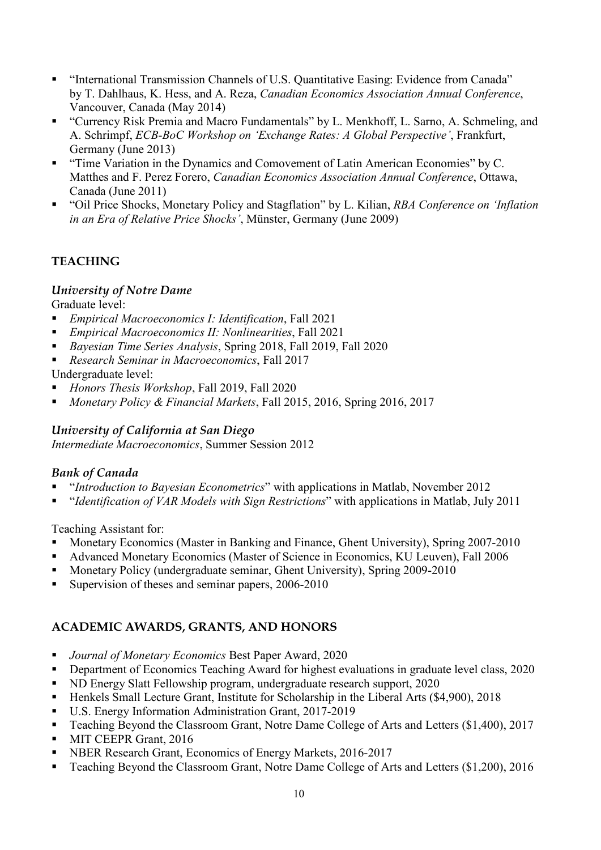- "International Transmission Channels of U.S. Quantitative Easing: Evidence from Canada" by T. Dahlhaus, K. Hess, and A. Reza, *Canadian Economics Association Annual Conference*, Vancouver, Canada (May 2014)
- "Currency Risk Premia and Macro Fundamentals" by L. Menkhoff, L. Sarno, A. Schmeling, and A. Schrimpf, *ECB-BoC Workshop on 'Exchange Rates: A Global Perspective'*, Frankfurt, Germany (June 2013)
- "Time Variation in the Dynamics and Comovement of Latin American Economies" by C. Matthes and F. Perez Forero, *Canadian Economics Association Annual Conference*, Ottawa, Canada (June 2011)
- "Oil Price Shocks, Monetary Policy and Stagflation" by L. Kilian, *RBA Conference on 'Inflation in an Era of Relative Price Shocks'*, Münster, Germany (June 2009)

## **TEACHING**

## *University of Notre Dame*

Graduate level:

- *Empirical Macroeconomics I: Identification*, Fall 2021
- *Empirical Macroeconomics II: Nonlinearities*, Fall 2021
- *Bayesian Time Series Analysis*, Spring 2018, Fall 2019, Fall 2020
- *Research Seminar in Macroeconomics*, Fall 2017

Undergraduate level:

- *Honors Thesis Workshop*, Fall 2019, Fall 2020
- *Monetary Policy & Financial Markets*, Fall 2015, 2016, Spring 2016, 2017

## *University of California at San Diego*

*Intermediate Macroeconomics*, Summer Session 2012

## *Bank of Canada*

- "*Introduction to Bayesian Econometrics*" with applications in Matlab, November 2012
- "*Identification of VAR Models with Sign Restrictions*" with applications in Matlab, July 2011

Teaching Assistant for:

- Monetary Economics (Master in Banking and Finance, Ghent University), Spring 2007-2010
- Advanced Monetary Economics (Master of Science in Economics, KU Leuven), Fall 2006
- **Monetary Policy (undergraduate seminar, Ghent University), Spring 2009-2010**
- Supervision of theses and seminar papers, 2006-2010

## **ACADEMIC AWARDS, GRANTS, AND HONORS**

- *Journal of Monetary Economics* Best Paper Award, 2020
- **Department of Economics Teaching Award for highest evaluations in graduate level class, 2020**
- ND Energy Slatt Fellowship program, undergraduate research support, 2020
- Henkels Small Lecture Grant, Institute for Scholarship in the Liberal Arts (\$4,900), 2018
- U.S. Energy Information Administration Grant, 2017-2019
- Teaching Beyond the Classroom Grant, Notre Dame College of Arts and Letters (\$1,400), 2017
- **MIT CEEPR Grant, 2016**
- **NBER Research Grant, Economics of Energy Markets, 2016-2017**
- Teaching Beyond the Classroom Grant, Notre Dame College of Arts and Letters (\$1,200), 2016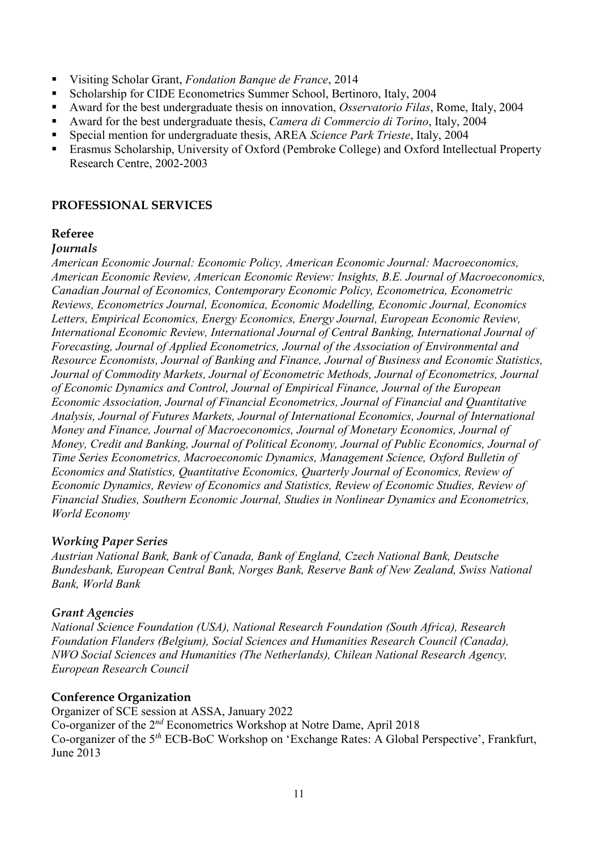- Visiting Scholar Grant, *Fondation Banque de France*, 2014
- Scholarship for CIDE Econometrics Summer School, Bertinoro, Italy, 2004
- Award for the best undergraduate thesis on innovation, *Osservatorio Filas*, Rome, Italy, 2004
- Award for the best undergraduate thesis, *Camera di Commercio di Torino*, Italy, 2004
- Special mention for undergraduate thesis, AREA *Science Park Trieste*, Italy, 2004
- Erasmus Scholarship, University of Oxford (Pembroke College) and Oxford Intellectual Property Research Centre, 2002-2003

#### **PROFESSIONAL SERVICES**

#### **Referee**

#### *Journals*

*American Economic Journal: Economic Policy, American Economic Journal: Macroeconomics, American Economic Review, American Economic Review: Insights, B.E. Journal of Macroeconomics, Canadian Journal of Economics, Contemporary Economic Policy, Econometrica, Econometric Reviews, Econometrics Journal, Economica, Economic Modelling, Economic Journal, Economics Letters, Empirical Economics, Energy Economics, Energy Journal, European Economic Review, International Economic Review, International Journal of Central Banking, International Journal of Forecasting, Journal of Applied Econometrics, Journal of the Association of Environmental and Resource Economists, Journal of Banking and Finance, Journal of Business and Economic Statistics, Journal of Commodity Markets, Journal of Econometric Methods, Journal of Econometrics, Journal of Economic Dynamics and Control, Journal of Empirical Finance, Journal of the European Economic Association, Journal of Financial Econometrics, Journal of Financial and Quantitative Analysis, Journal of Futures Markets, Journal of International Economics, Journal of International Money and Finance, Journal of Macroeconomics, Journal of Monetary Economics, Journal of Money, Credit and Banking, Journal of Political Economy, Journal of Public Economics, Journal of Time Series Econometrics, Macroeconomic Dynamics, Management Science, Oxford Bulletin of Economics and Statistics, Quantitative Economics, Quarterly Journal of Economics, Review of Economic Dynamics, Review of Economics and Statistics, Review of Economic Studies, Review of Financial Studies, Southern Economic Journal, Studies in Nonlinear Dynamics and Econometrics, World Economy*

#### *Working Paper Series*

*Austrian National Bank, Bank of Canada, Bank of England, Czech National Bank, Deutsche Bundesbank, European Central Bank, Norges Bank, Reserve Bank of New Zealand, Swiss National Bank, World Bank*

#### *Grant Agencies*

*National Science Foundation (USA), National Research Foundation (South Africa), Research Foundation Flanders (Belgium), Social Sciences and Humanities Research Council (Canada), NWO Social Sciences and Humanities (The Netherlands), Chilean National Research Agency, European Research Council*

#### **Conference Organization**

Organizer of SCE session at ASSA, January 2022 Co-organizer of the 2*nd* Econometrics Workshop at Notre Dame, April 2018 Co-organizer of the 5*th* ECB-BoC Workshop on 'Exchange Rates: A Global Perspective', Frankfurt, June 2013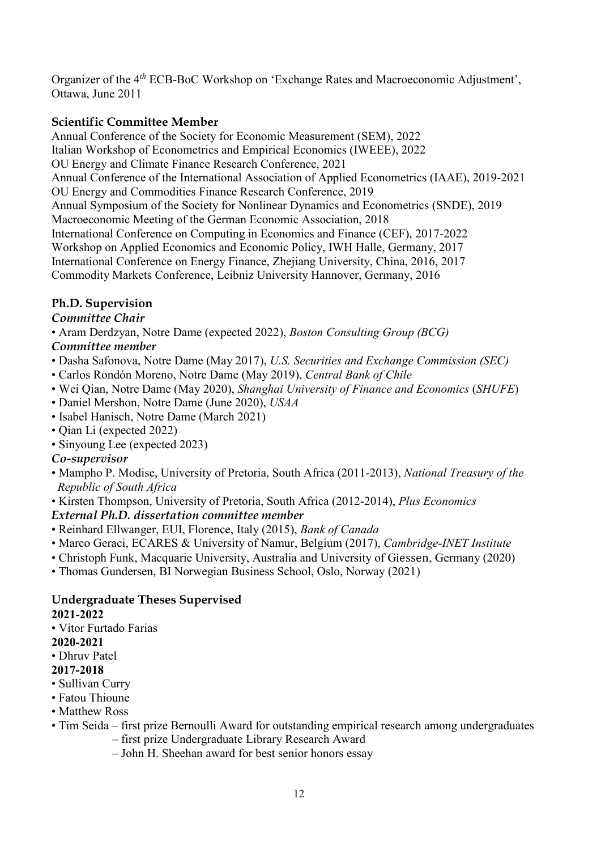Organizer of the 4*th* ECB-BoC Workshop on 'Exchange Rates and Macroeconomic Adjustment', Ottawa, June 2011

## **Scientific Committee Member**

Annual Conference of the Society for Economic Measurement (SEM), 2022 Italian Workshop of Econometrics and Empirical Economics (IWEEE), 2022 OU Energy and Climate Finance Research Conference, 2021 Annual Conference of the International Association of Applied Econometrics (IAAE), 2019-2021 OU Energy and Commodities Finance Research Conference, 2019 Annual Symposium of the Society for Nonlinear Dynamics and Econometrics (SNDE), 2019 Macroeconomic Meeting of the German Economic Association, 2018 International Conference on Computing in Economics and Finance (CEF), 2017-2022 Workshop on Applied Economics and Economic Policy, IWH Halle, Germany, 2017 International Conference on Energy Finance, Zhejiang University, China, 2016, 2017 Commodity Markets Conference, Leibniz University Hannover, Germany, 2016

## **Ph.D. Supervision**

## *Committee Chair*

• Aram Derdzyan, Notre Dame (expected 2022), *Boston Consulting Group (BCG)*

## *Committee member*

- Dasha Safonova, Notre Dame (May 2017), *U.S. Securities and Exchange Commission (SEC)*
- Carlos Rondón Moreno, Notre Dame (May 2019), *Central Bank of Chile*
- Wei Qian, Notre Dame (May 2020), *Shanghai University of Finance and Economics* (*SHUFE*)
- Daniel Mershon, Notre Dame (June 2020), *USAA*
- Isabel Hanisch, Notre Dame (March 2021)
- Qian Li (expected 2022)
- Sinyoung Lee (expected 2023)

## *Co-supervisor*

- Mampho P. Modise, University of Pretoria, South Africa (2011-2013), *National Treasury of the Republic of South Africa*
- Kirsten Thompson, University of Pretoria, South Africa (2012-2014), *Plus Economics*

## *External Ph.D. dissertation committee member*

- Reinhard Ellwanger, EUI, Florence, Italy (2015), *Bank of Canada*
- Marco Geraci, ECARES & University of Namur, Belgium (2017), *Cambridge-INET Institute*
- Christoph Funk, Macquarie University, Australia and University of Giessen, Germany (2020)
- Thomas Gundersen, BI Norwegian Business School, Oslo, Norway (2021)

## **Undergraduate Theses Supervised 2021-2022**

• Vitor Furtado Farias

#### **2020-2021**

• Dhruv Patel

## **2017-2018**

- Sullivan Curry
- Fatou Thioune
- Matthew Ross
- Tim Seida first prize Bernoulli Award for outstanding empirical research among undergraduates
	- first prize Undergraduate Library Research Award
		- John H. Sheehan award for best senior honors essay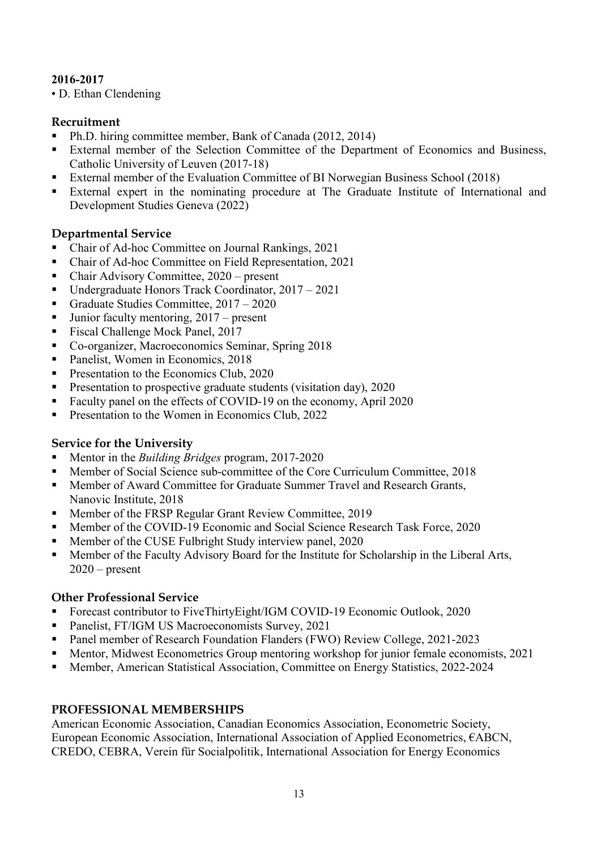## **2016-2017**

• D. Ethan Clendening

## **Recruitment**

- Ph.D. hiring committee member, Bank of Canada (2012, 2014)
- External member of the Selection Committee of the Department of Economics and Business, Catholic University of Leuven (2017-18)
- External member of the Evaluation Committee of BI Norwegian Business School (2018)
- External expert in the nominating procedure at The Graduate Institute of International and Development Studies Geneva (2022)

## **Departmental Service**

- Chair of Ad-hoc Committee on Journal Rankings, 2021
- Chair of Ad-hoc Committee on Field Representation, 2021
- Chair Advisory Committee, 2020 present
- Undergraduate Honors Track Coordinator, 2017 2021
- Graduate Studies Committee, 2017 2020
- Junior faculty mentoring, 2017 present
- Fiscal Challenge Mock Panel, 2017
- Co-organizer, Macroeconomics Seminar, Spring 2018
- Panelist, Women in Economics, 2018
- **Presentation to the Economics Club, 2020**
- **Presentation to prospective graduate students (visitation day), 2020**
- Faculty panel on the effects of COVID-19 on the economy, April 2020
- **Presentation to the Women in Economics Club, 2022**

## **Service for the University**

- Mentor in the *Building Bridges* program, 2017-2020
- Member of Social Science sub-committee of the Core Curriculum Committee, 2018
- Member of Award Committee for Graduate Summer Travel and Research Grants, Nanovic Institute, 2018
- Member of the FRSP Regular Grant Review Committee, 2019
- Member of the COVID-19 Economic and Social Science Research Task Force, 2020
- Member of the CUSE Fulbright Study interview panel, 2020
- **Member of the Faculty Advisory Board for the Institute for Scholarship in the Liberal Arts,**  $2020$  – present

## **Other Professional Service**

- Forecast contributor to FiveThirtyEight/IGM COVID-19 Economic Outlook, 2020
- Panelist, FT/IGM US Macroeconomists Survey, 2021
- Panel member of Research Foundation Flanders (FWO) Review College, 2021-2023
- Mentor, Midwest Econometrics Group mentoring workshop for junior female economists, 2021
- Member, American Statistical Association, Committee on Energy Statistics, 2022-2024

## **PROFESSIONAL MEMBERSHIPS**

American Economic Association, Canadian Economics Association, Econometric Society, European Economic Association, International Association of Applied Econometrics, €ABCN, CREDO, CEBRA, Verein für Socialpolitik, International Association for Energy Economics